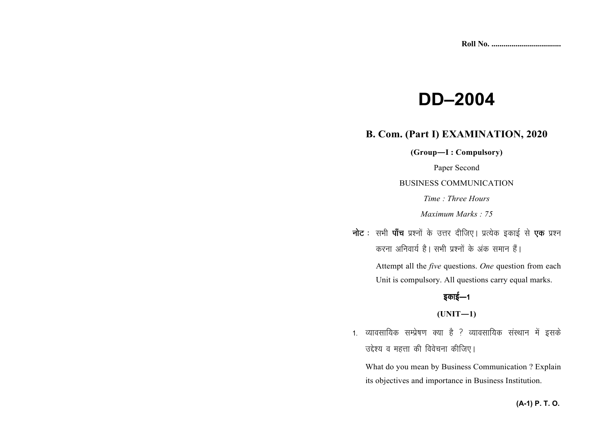# **DD–2004**

### **B. Com. (Part I) EXAMINATION, 2020**

**(Group—I : Compulsory)** 

Paper Second

BUSINESS COMMUNICATION

*Time : Three Hours* 

*Maximum Marks : 75*

**नोट** : सभी **पाँच** प्रश्नों के उत्तर दीजिए। प्रत्येक इकाई से **एक** प्रश्न करना अनिवार्य है। सभी पश्नों के अंक समान हैं।

> Attempt all the *five* questions. *One* question from each Unit is compulsory. All questions carry equal marks.

# इकाई—1

**(UNIT—1)** 

1. व्यावसायिक सम्प्रेषण क्या है ? व्यावसायिक संस्थान में इसके उद्देश्य व महत्ता की विवेचना कीजिए।

What do you mean by Business Communication ? Explain its objectives and importance in Business Institution.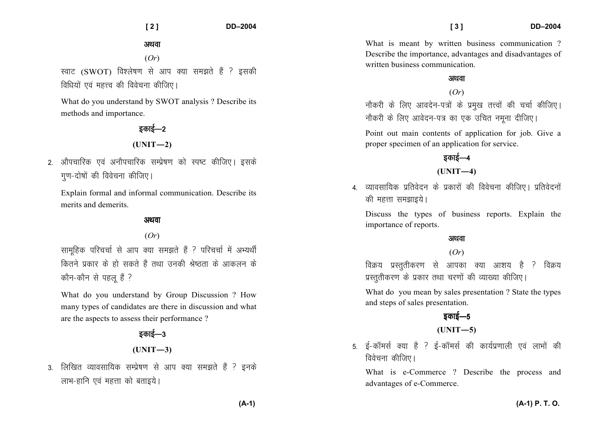अथवा

(*Or*)

स्वाट (SWOT) विश्लेषण से आप क्या समझते हैं ? इसकी विधियों एवं महत्त्व की विवेचना कीजिए।

What do you understand by SWOT analysis ? Describe its methods and importance.

### डकाई—२ **(UNIT—2)**

- 2. औपचारिक एवं अनौपचारिक सम्प्रेषण को स्पष्ट कीजिए। इसके
	- गण-दोषों की विवेचना कीजिए।

Explain formal and informal communication. Describe its merits and demerits.

#### अथवा

(*Or*)

सामहिक परिचर्चा से आप क्या समझते हैं ? परिचर्चा में अभ्यर्थी कितने प्रकार के हो सकते हैं तथा उनकी श्रेष्टता के आकलन के कौन-कौन से पहलू हैं ?

What do you understand by Group Discussion ? How many types of candidates are there in discussion and what are the aspects to assess their performance ?

# डकाई—3  $(UNIT-3)$

3. लिखित व्यावसायिक सम्प्रेषण से आप क्या समझते हैं ? इनके लाभ-हानि एवं महत्ता को बताइये।

What is meant by written business communication? Describe the importance, advantages and disadvantages of written business communication.

#### अथवा

#### (*Or*)

नौकरी के लिए आवदेन-पत्रों के प्रमुख तत्त्वों की चर्चा कीजिए। नौकरी के लिए आवेदन-पत्र का एक उचित नमना दीजिए।

Point out main contents of application for job. Give a proper specimen of an application for service.

### डकाई—4

### **(UNIT—4)**

4 - व्यावसायिक प्रतिवेदन के प्रकारों की विवेचना कीजिए। प्रतिवेदनों की महत्ता समझाइये।

Discuss the types of business reports. Explain the importance of reports.

#### अथवा

#### (*Or*)

विक्रय प्रस्ततीकरण से आपका क्या आशय है ? विक्रय प्रस्तुतीकरण के प्रकार तथा चरणों की व्याख्या कीजिए।

What do you mean by sales presentation ? State the types and steps of sales presentation.

# डकाई—5

**(UNIT—5)** 

5. ई-कॉमर्स क्या है ? ई-कॉमर्स की कार्यप्रणाली एवं लाभों की विवेचना कीजिए।

What is e-Commerce ? Describe the process and advantages of e-Commerce.